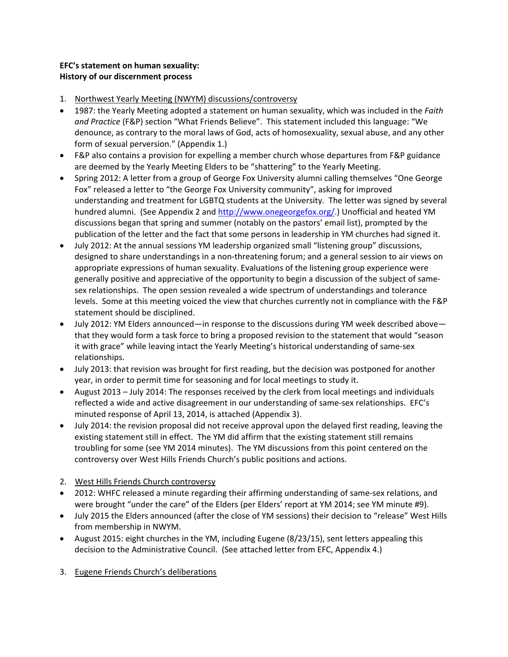# **EFC's statement on human sexuality: History of our discernment process**

- 1. Northwest Yearly Meeting (NWYM) discussions/controversy
- 1987: the Yearly Meeting adopted a statement on human sexuality, which was included in the *Faith and Practice* (F&P) section "What Friends Believe". This statement included this language: "We denounce, as contrary to the moral laws of God, acts of homosexuality, sexual abuse, and any other form of sexual perversion." (Appendix 1.)
- F&P also contains a provision for expelling a member church whose departures from F&P guidance are deemed by the Yearly Meeting Elders to be "shattering" to the Yearly Meeting.
- Spring 2012: A letter from a group of George Fox University alumni calling themselves "One George Fox" released a letter to "the George Fox University community", asking for improved understanding and treatment for LGBTQ students at the University. The letter was signed by several hundred alumni. (See Appendix 2 and http://www.onegeorgefox.org/.) Unofficial and heated YM discussions began that spring and summer (notably on the pastors' email list), prompted by the publication of the letter and the fact that some persons in leadership in YM churches had signed it.
- July 2012: At the annual sessions YM leadership organized small "listening group" discussions, designed to share understandings in a non-threatening forum; and a general session to air views on appropriate expressions of human sexuality. Evaluations of the listening group experience were generally positive and appreciative of the opportunity to begin a discussion of the subject of samesex relationships. The open session revealed a wide spectrum of understandings and tolerance levels. Some at this meeting voiced the view that churches currently not in compliance with the F&P statement should be disciplined.
- July 2012: YM Elders announced—in response to the discussions during YM week described above that they would form a task force to bring a proposed revision to the statement that would "season it with grace" while leaving intact the Yearly Meeting's historical understanding of same-sex relationships.
- July 2013: that revision was brought for first reading, but the decision was postponed for another year, in order to permit time for seasoning and for local meetings to study it.
- August 2013 July 2014: The responses received by the clerk from local meetings and individuals reflected a wide and active disagreement in our understanding of same-sex relationships. EFC's minuted response of April 13, 2014, is attached (Appendix 3).
- July 2014: the revision proposal did not receive approval upon the delayed first reading, leaving the existing statement still in effect. The YM did affirm that the existing statement still remains troubling for some (see YM 2014 minutes). The YM discussions from this point centered on the controversy over West Hills Friends Church's public positions and actions.
- 2. West Hills Friends Church controversy
- 2012: WHFC released a minute regarding their affirming understanding of same-sex relations, and were brought "under the care" of the Elders (per Elders' report at YM 2014; see YM minute #9).
- July 2015 the Elders announced (after the close of YM sessions) their decision to "release" West Hills from membership in NWYM.
- August 2015: eight churches in the YM, including Eugene (8/23/15), sent letters appealing this decision to the Administrative Council. (See attached letter from EFC, Appendix 4.)
- 3. Eugene Friends Church's deliberations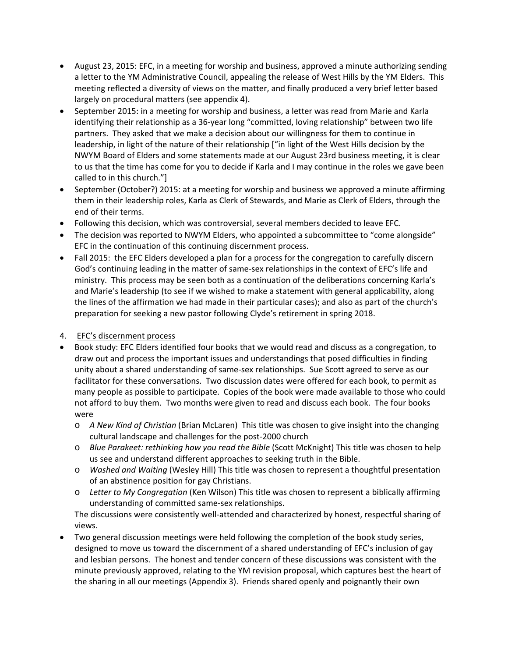- August 23, 2015: EFC, in a meeting for worship and business, approved a minute authorizing sending a letter to the YM Administrative Council, appealing the release of West Hills by the YM Elders. This meeting reflected a diversity of views on the matter, and finally produced a very brief letter based largely on procedural matters (see appendix 4).
- September 2015: in a meeting for worship and business, a letter was read from Marie and Karla identifying their relationship as a 36-year long "committed, loving relationship" between two life partners. They asked that we make a decision about our willingness for them to continue in leadership, in light of the nature of their relationship ["in light of the West Hills decision by the NWYM Board of Elders and some statements made at our August 23rd business meeting, it is clear to us that the time has come for you to decide if Karla and I may continue in the roles we gave been called to in this church."]
- September (October?) 2015: at a meeting for worship and business we approved a minute affirming them in their leadership roles, Karla as Clerk of Stewards, and Marie as Clerk of Elders, through the end of their terms.
- Following this decision, which was controversial, several members decided to leave EFC.
- The decision was reported to NWYM Elders, who appointed a subcommittee to "come alongside" EFC in the continuation of this continuing discernment process.
- Fall 2015: the EFC Elders developed a plan for a process for the congregation to carefully discern God's continuing leading in the matter of same-sex relationships in the context of EFC's life and ministry. This process may be seen both as a continuation of the deliberations concerning Karla's and Marie's leadership (to see if we wished to make a statement with general applicability, along the lines of the affirmation we had made in their particular cases); and also as part of the church's preparation for seeking a new pastor following Clyde's retirement in spring 2018.

# 4. EFC's discernment process

- Book study: EFC Elders identified four books that we would read and discuss as a congregation, to draw out and process the important issues and understandings that posed difficulties in finding unity about a shared understanding of same-sex relationships. Sue Scott agreed to serve as our facilitator for these conversations. Two discussion dates were offered for each book, to permit as many people as possible to participate. Copies of the book were made available to those who could not afford to buy them. Two months were given to read and discuss each book. The four books were
	- o *A New Kind of Christian* (Brian McLaren) This title was chosen to give insight into the changing cultural landscape and challenges for the post-2000 church
	- o *Blue Parakeet: rethinking how you read the Bible* (Scott McKnight) This title was chosen to help us see and understand different approaches to seeking truth in the Bible.
	- o *Washed and Waiting* (Wesley Hill) This title was chosen to represent a thoughtful presentation of an abstinence position for gay Christians.
	- o *Letter to My Congregation* (Ken Wilson) This title was chosen to represent a biblically affirming understanding of committed same-sex relationships.

The discussions were consistently well-attended and characterized by honest, respectful sharing of views.

 Two general discussion meetings were held following the completion of the book study series, designed to move us toward the discernment of a shared understanding of EFC's inclusion of gay and lesbian persons. The honest and tender concern of these discussions was consistent with the minute previously approved, relating to the YM revision proposal, which captures best the heart of the sharing in all our meetings (Appendix 3). Friends shared openly and poignantly their own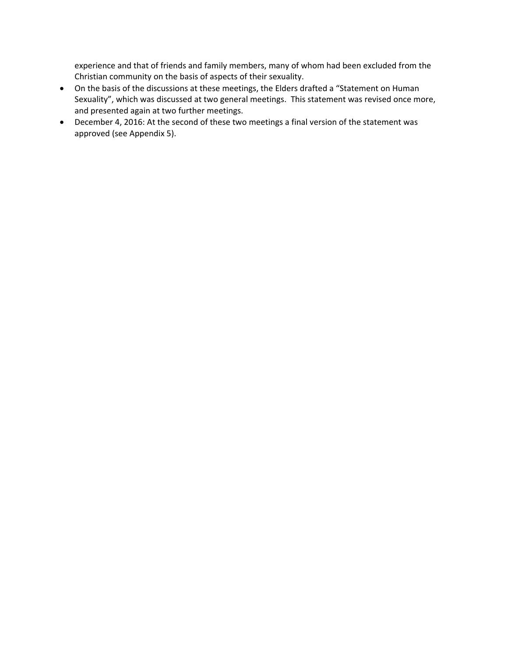experience and that of friends and family members, many of whom had been excluded from the Christian community on the basis of aspects of their sexuality.

- On the basis of the discussions at these meetings, the Elders drafted a "Statement on Human Sexuality", which was discussed at two general meetings. This statement was revised once more, and presented again at two further meetings.
- December 4, 2016: At the second of these two meetings a final version of the statement was approved (see Appendix 5).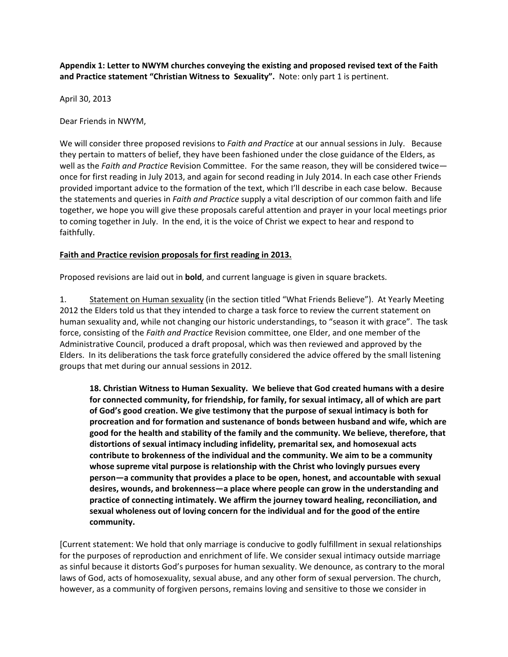**Appendix 1: Letter to NWYM churches conveying the existing and proposed revised text of the Faith and Practice statement "Christian Witness to Sexuality".** Note: only part 1 is pertinent.

April 30, 2013

Dear Friends in NWYM,

We will consider three proposed revisions to *Faith and Practice* at our annual sessions in July. Because they pertain to matters of belief, they have been fashioned under the close guidance of the Elders, as well as the *Faith and Practice* Revision Committee. For the same reason, they will be considered twice once for first reading in July 2013, and again for second reading in July 2014. In each case other Friends provided important advice to the formation of the text, which I'll describe in each case below. Because the statements and queries in *Faith and Practice* supply a vital description of our common faith and life together, we hope you will give these proposals careful attention and prayer in your local meetings prior to coming together in July. In the end, it is the voice of Christ we expect to hear and respond to faithfully.

### **Faith and Practice revision proposals for first reading in 2013.**

Proposed revisions are laid out in **bold**, and current language is given in square brackets.

1. Statement on Human sexuality (in the section titled "What Friends Believe"). At Yearly Meeting 2012 the Elders told us that they intended to charge a task force to review the current statement on human sexuality and, while not changing our historic understandings, to "season it with grace". The task force, consisting of the *Faith and Practice* Revision committee, one Elder, and one member of the Administrative Council, produced a draft proposal, which was then reviewed and approved by the Elders. In its deliberations the task force gratefully considered the advice offered by the small listening groups that met during our annual sessions in 2012.

**18. Christian Witness to Human Sexuality. We believe that God created humans with a desire for connected community, for friendship, for family, for sexual intimacy, all of which are part of God's good creation. We give testimony that the purpose of sexual intimacy is both for procreation and for formation and sustenance of bonds between husband and wife, which are good for the health and stability of the family and the community. We believe, therefore, that distortions of sexual intimacy including infidelity, premarital sex, and homosexual acts contribute to brokenness of the individual and the community. We aim to be a community whose supreme vital purpose is relationship with the Christ who lovingly pursues every person—a community that provides a place to be open, honest, and accountable with sexual desires, wounds, and brokenness—a place where people can grow in the understanding and practice of connecting intimately. We affirm the journey toward healing, reconciliation, and sexual wholeness out of loving concern for the individual and for the good of the entire community.** 

[Current statement: We hold that only marriage is conducive to godly fulfillment in sexual relationships for the purposes of reproduction and enrichment of life. We consider sexual intimacy outside marriage as sinful because it distorts God's purposes for human sexuality. We denounce, as contrary to the moral laws of God, acts of homosexuality, sexual abuse, and any other form of sexual perversion. The church, however, as a community of forgiven persons, remains loving and sensitive to those we consider in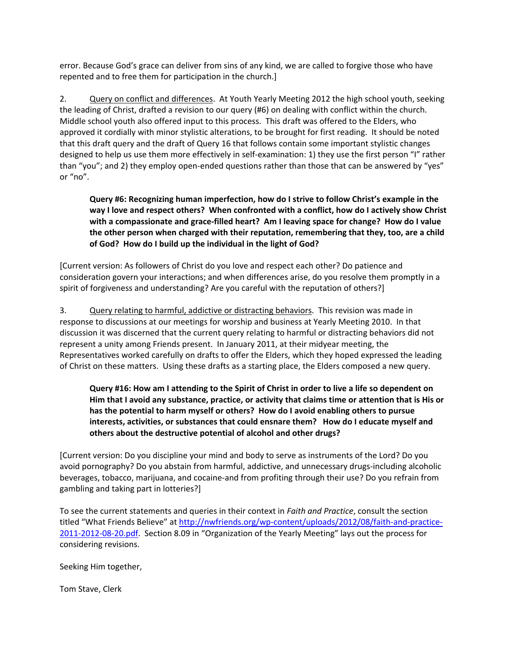error. Because God's grace can deliver from sins of any kind, we are called to forgive those who have repented and to free them for participation in the church.]

2. Query on conflict and differences. At Youth Yearly Meeting 2012 the high school youth, seeking the leading of Christ, drafted a revision to our query (#6) on dealing with conflict within the church. Middle school youth also offered input to this process. This draft was offered to the Elders, who approved it cordially with minor stylistic alterations, to be brought for first reading. It should be noted that this draft query and the draft of Query 16 that follows contain some important stylistic changes designed to help us use them more effectively in self-examination: 1) they use the first person "I" rather than "you"; and 2) they employ open-ended questions rather than those that can be answered by "yes" or "no".

**Query #6: Recognizing human imperfection, how do I strive to follow Christ's example in the way I love and respect others? When confronted with a conflict, how do I actively show Christ with a compassionate and grace-filled heart? Am I leaving space for change? How do I value the other person when charged with their reputation, remembering that they, too, are a child of God? How do I build up the individual in the light of God?**

[Current version: As followers of Christ do you love and respect each other? Do patience and consideration govern your interactions; and when differences arise, do you resolve them promptly in a spirit of forgiveness and understanding? Are you careful with the reputation of others?]

3. Query relating to harmful, addictive or distracting behaviors. This revision was made in response to discussions at our meetings for worship and business at Yearly Meeting 2010. In that discussion it was discerned that the current query relating to harmful or distracting behaviors did not represent a unity among Friends present. In January 2011, at their midyear meeting, the Representatives worked carefully on drafts to offer the Elders, which they hoped expressed the leading of Christ on these matters. Using these drafts as a starting place, the Elders composed a new query.

**Query #16: How am I attending to the Spirit of Christ in order to live a life so dependent on Him that I avoid any substance, practice, or activity that claims time or attention that is His or has the potential to harm myself or others? How do I avoid enabling others to pursue interests, activities, or substances that could ensnare them? How do I educate myself and others about the destructive potential of alcohol and other drugs?** 

[Current version: Do you discipline your mind and body to serve as instruments of the Lord? Do you avoid pornography? Do you abstain from harmful, addictive, and unnecessary drugs-including alcoholic beverages, tobacco, marijuana, and cocaine-and from profiting through their use? Do you refrain from gambling and taking part in lotteries?]

To see the current statements and queries in their context in *Faith and Practice*, consult the section titled "What Friends Believe" at http://nwfriends.org/wp-content/uploads/2012/08/faith-and-practice-2011-2012-08-20.pdf. Section 8.09 in "Organization of the Yearly Meeting" lays out the process for considering revisions.

Seeking Him together,

Tom Stave, Clerk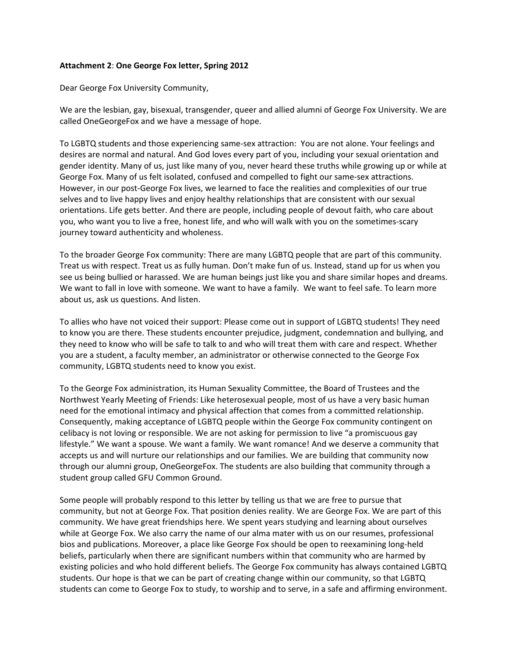#### **Attachment 2**: **One George Fox letter, Spring 2012**

Dear George Fox University Community,

We are the lesbian, gay, bisexual, transgender, queer and allied alumni of George Fox University. We are called OneGeorgeFox and we have a message of hope.

To LGBTQ students and those experiencing same-sex attraction: You are not alone. Your feelings and desires are normal and natural. And God loves every part of you, including your sexual orientation and gender identity. Many of us, just like many of you, never heard these truths while growing up or while at George Fox. Many of us felt isolated, confused and compelled to fight our same-sex attractions. However, in our post-George Fox lives, we learned to face the realities and complexities of our true selves and to live happy lives and enjoy healthy relationships that are consistent with our sexual orientations. Life gets better. And there are people, including people of devout faith, who care about you, who want you to live a free, honest life, and who will walk with you on the sometimes-scary journey toward authenticity and wholeness.

To the broader George Fox community: There are many LGBTQ people that are part of this community. Treat us with respect. Treat us as fully human. Don't make fun of us. Instead, stand up for us when you see us being bullied or harassed. We are human beings just like you and share similar hopes and dreams. We want to fall in love with someone. We want to have a family. We want to feel safe. To learn more about us, ask us questions. And listen.

To allies who have not voiced their support: Please come out in support of LGBTQ students! They need to know you are there. These students encounter prejudice, judgment, condemnation and bullying, and they need to know who will be safe to talk to and who will treat them with care and respect. Whether you are a student, a faculty member, an administrator or otherwise connected to the George Fox community, LGBTQ students need to know you exist.

To the George Fox administration, its Human Sexuality Committee, the Board of Trustees and the Northwest Yearly Meeting of Friends: Like heterosexual people, most of us have a very basic human need for the emotional intimacy and physical affection that comes from a committed relationship. Consequently, making acceptance of LGBTQ people within the George Fox community contingent on celibacy is not loving or responsible. We are not asking for permission to live "a promiscuous gay lifestyle." We want a spouse. We want a family. We want romance! And we deserve a community that accepts us and will nurture our relationships and our families. We are building that community now through our alumni group, OneGeorgeFox. The students are also building that community through a student group called GFU Common Ground.

Some people will probably respond to this letter by telling us that we are free to pursue that community, but not at George Fox. That position denies reality. We are George Fox. We are part of this community. We have great friendships here. We spent years studying and learning about ourselves while at George Fox. We also carry the name of our alma mater with us on our resumes, professional bios and publications. Moreover, a place like George Fox should be open to reexamining long-held beliefs, particularly when there are significant numbers within that community who are harmed by existing policies and who hold different beliefs. The George Fox community has always contained LGBTQ students. Our hope is that we can be part of creating change within our community, so that LGBTQ students can come to George Fox to study, to worship and to serve, in a safe and affirming environment.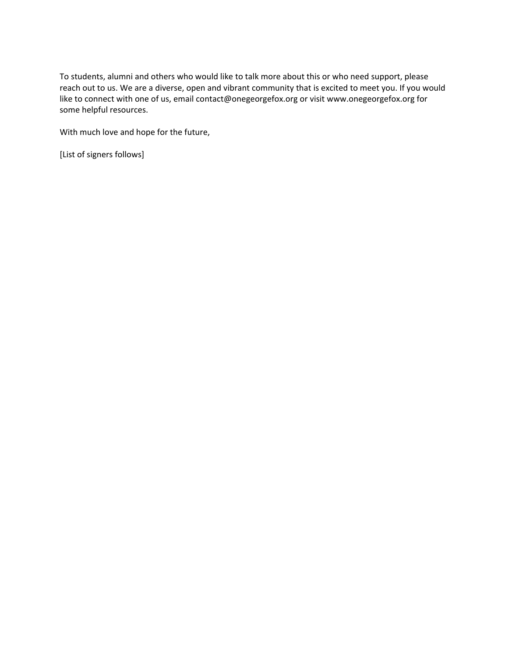To students, alumni and others who would like to talk more about this or who need support, please reach out to us. We are a diverse, open and vibrant community that is excited to meet you. If you would like to connect with one of us, email contact@onegeorgefox.org or visit www.onegeorgefox.org for some helpful resources.

With much love and hope for the future,

[List of signers follows]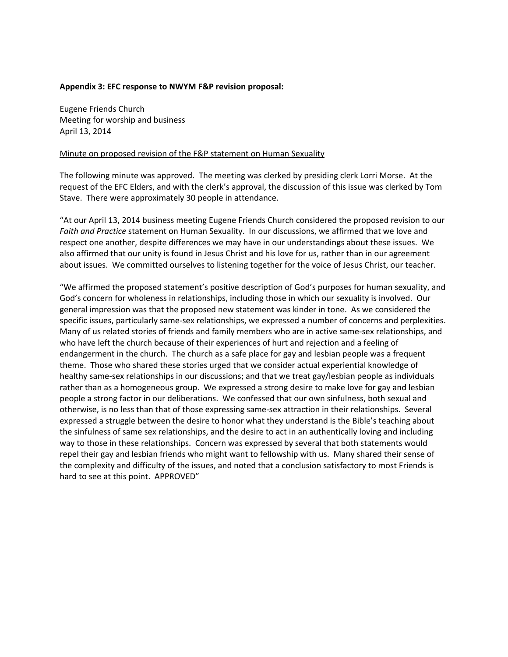#### **Appendix 3: EFC response to NWYM F&P revision proposal:**

Eugene Friends Church Meeting for worship and business April 13, 2014

#### Minute on proposed revision of the F&P statement on Human Sexuality

The following minute was approved. The meeting was clerked by presiding clerk Lorri Morse. At the request of the EFC Elders, and with the clerk's approval, the discussion of this issue was clerked by Tom Stave. There were approximately 30 people in attendance.

"At our April 13, 2014 business meeting Eugene Friends Church considered the proposed revision to our *Faith and Practice* statement on Human Sexuality. In our discussions, we affirmed that we love and respect one another, despite differences we may have in our understandings about these issues. We also affirmed that our unity is found in Jesus Christ and his love for us, rather than in our agreement about issues. We committed ourselves to listening together for the voice of Jesus Christ, our teacher.

"We affirmed the proposed statement's positive description of God's purposes for human sexuality, and God's concern for wholeness in relationships, including those in which our sexuality is involved. Our general impression was that the proposed new statement was kinder in tone. As we considered the specific issues, particularly same-sex relationships, we expressed a number of concerns and perplexities. Many of us related stories of friends and family members who are in active same-sex relationships, and who have left the church because of their experiences of hurt and rejection and a feeling of endangerment in the church. The church as a safe place for gay and lesbian people was a frequent theme. Those who shared these stories urged that we consider actual experiential knowledge of healthy same-sex relationships in our discussions; and that we treat gay/lesbian people as individuals rather than as a homogeneous group. We expressed a strong desire to make love for gay and lesbian people a strong factor in our deliberations. We confessed that our own sinfulness, both sexual and otherwise, is no less than that of those expressing same-sex attraction in their relationships. Several expressed a struggle between the desire to honor what they understand is the Bible's teaching about the sinfulness of same sex relationships, and the desire to act in an authentically loving and including way to those in these relationships. Concern was expressed by several that both statements would repel their gay and lesbian friends who might want to fellowship with us. Many shared their sense of the complexity and difficulty of the issues, and noted that a conclusion satisfactory to most Friends is hard to see at this point. APPROVED"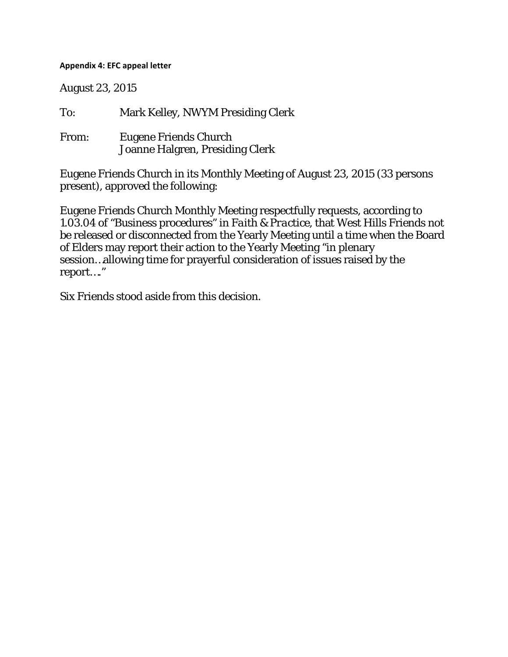## **Appendix 4: EFC appeal letter**

August 23, 2015

To: Mark Kelley, NWYM Presiding Clerk From: Eugene Friends Church Joanne Halgren, Presiding Clerk

Eugene Friends Church in its Monthly Meeting of August 23, 2015 (33 persons present), approved the following:

Eugene Friends Church Monthly Meeting respectfully requests, according to 1.03.04 of "Business procedures" in *Faith & Practice*, that West Hills Friends not be released or disconnected from the Yearly Meeting until a time when the Board of Elders may report their action to the Yearly Meeting "in plenary session…allowing time for prayerful consideration of issues raised by the report…."

Six Friends stood aside from this decision.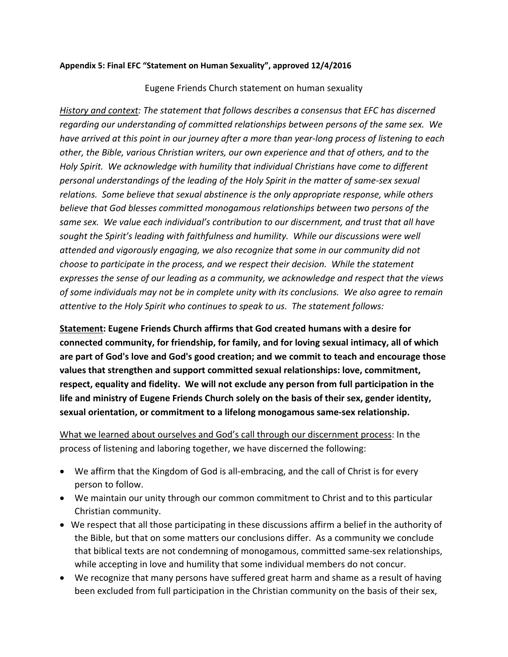## **Appendix 5: Final EFC "Statement on Human Sexuality", approved 12/4/2016**

# Eugene Friends Church statement on human sexuality

*History and context: The statement that follows describes a consensus that EFC has discerned regarding our understanding of committed relationships between persons of the same sex. We have arrived at this point in our journey after a more than year-long process of listening to each other, the Bible, various Christian writers, our own experience and that of others, and to the Holy Spirit. We acknowledge with humility that individual Christians have come to different personal understandings of the leading of the Holy Spirit in the matter of same-sex sexual relations. Some believe that sexual abstinence is the only appropriate response, while others believe that God blesses committed monogamous relationships between two persons of the same sex. We value each individual's contribution to our discernment, and trust that all have sought the Spirit's leading with faithfulness and humility. While our discussions were well attended and vigorously engaging, we also recognize that some in our community did not choose to participate in the process, and we respect their decision. While the statement expresses the sense of our leading as a community, we acknowledge and respect that the views of some individuals may not be in complete unity with its conclusions. We also agree to remain attentive to the Holy Spirit who continues to speak to us. The statement follows:* 

**Statement: Eugene Friends Church affirms that God created humans with a desire for connected community, for friendship, for family, and for loving sexual intimacy, all of which are part of God's love and God's good creation; and we commit to teach and encourage those values that strengthen and support committed sexual relationships: love, commitment, respect, equality and fidelity. We will not exclude any person from full participation in the life and ministry of Eugene Friends Church solely on the basis of their sex, gender identity, sexual orientation, or commitment to a lifelong monogamous same-sex relationship.** 

What we learned about ourselves and God's call through our discernment process: In the process of listening and laboring together, we have discerned the following:

- We affirm that the Kingdom of God is all-embracing, and the call of Christ is for every person to follow.
- We maintain our unity through our common commitment to Christ and to this particular Christian community.
- We respect that all those participating in these discussions affirm a belief in the authority of the Bible, but that on some matters our conclusions differ. As a community we conclude that biblical texts are not condemning of monogamous, committed same-sex relationships, while accepting in love and humility that some individual members do not concur.
- We recognize that many persons have suffered great harm and shame as a result of having been excluded from full participation in the Christian community on the basis of their sex,